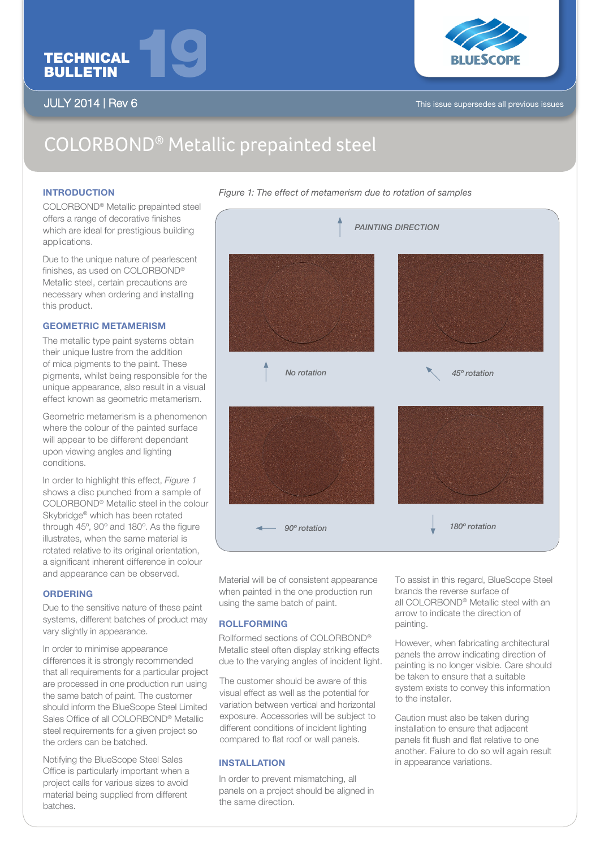

**JULY 2014 | Rev 6** 



This issue supersedes all previous issues

# COLORBOND® Metallic prepainted steel

### **INTRODUCTION**

COLORBOND® Metallic prepainted steel offers a range of decorative finishes which are ideal for prestigious building applications.

Due to the unique nature of pearlescent finishes, as used on COLORBOND® Metallic steel, certain precautions are necessary when ordering and installing this product.

# GEOMETRIC METAMERISM

The metallic type paint systems obtain their unique lustre from the addition of mica pigments to the paint. These pigments, whilst being responsible for the unique appearance, also result in a visual effect known as geometric metamerism.

Geometric metamerism is a phenomenon where the colour of the painted surface will appear to be different dependant upon viewing angles and lighting conditions.

In order to highlight this effect, *Figure 1* shows a disc punched from a sample of COLORBOND® Metallic steel in the colour Skybridge® which has been rotated through 45º, 90º and 180º. As the figure illustrates, when the same material is rotated relative to its original orientation, a significant inherent difference in colour and appearance can be observed.

# **ORDERING**

Due to the sensitive nature of these paint systems, different batches of product may vary slightly in appearance.

In order to minimise appearance differences it is strongly recommended that all requirements for a particular project are processed in one production run using the same batch of paint. The customer should inform the BlueScope Steel Limited Sales Office of all COLORBOND® Metallic steel requirements for a given project so the orders can be batched.

Notifying the BlueScope Steel Sales Office is particularly important when a project calls for various sizes to avoid material being supplied from different batches.



Material will be of consistent appearance when painted in the one production run using the same batch of paint.

# ROLLFORMING

Rollformed sections of COLORBOND® Metallic steel often display striking effects due to the varying angles of incident light.

The customer should be aware of this visual effect as well as the potential for variation between vertical and horizontal exposure. Accessories will be subject to different conditions of incident lighting compared to flat roof or wall panels.

#### INSTALLATION

In order to prevent mismatching, all panels on a project should be aligned in the same direction.

To assist in this regard, BlueScope Steel brands the reverse surface of all COLORBOND® Metallic steel with an arrow to indicate the direction of painting.

However, when fabricating architectural panels the arrow indicating direction of painting is no longer visible. Care should be taken to ensure that a suitable system exists to convey this information to the installer.

Caution must also be taken during installation to ensure that adjacent panels fit flush and flat relative to one another. Failure to do so will again result in appearance variations.